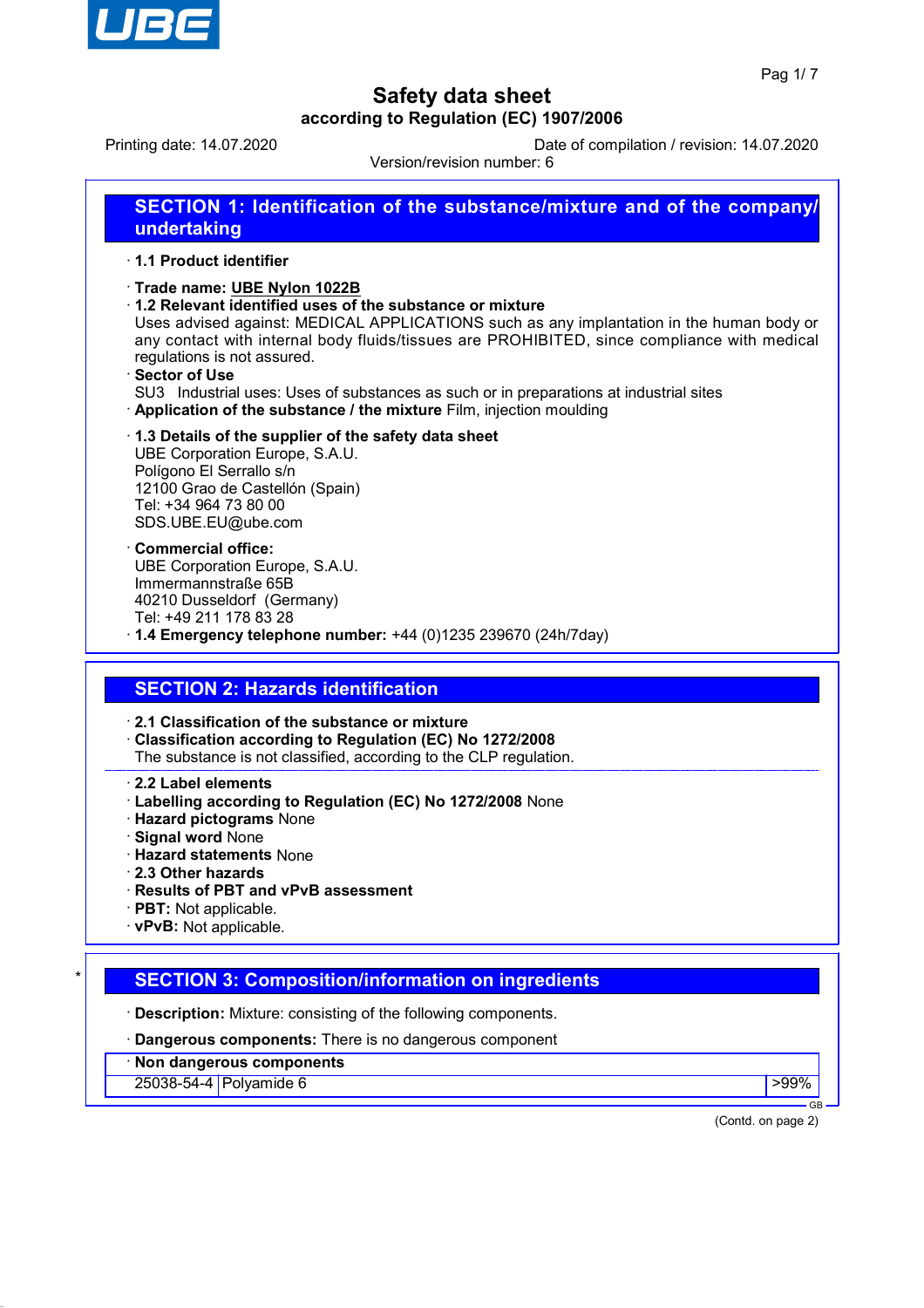

Printing date: 14.07.2020 Date of compilation / revision: 14.07.2020

Version/revision number: 6

| <b>SECTION 1: Identification of the substance/mixture and of the company/</b> |  |
|-------------------------------------------------------------------------------|--|
| undertaking                                                                   |  |

#### · **1.1 Product identifier**

#### · **Trade name: UBE Nylon 1022B**

· **1.2 Relevant identified uses of the substance or mixture**

Uses advised against: MEDICAL APPLICATIONS such as any implantation in the human body or any contact with internal body fluids/tissues are PROHIBITED, since compliance with medical regulations is not assured.

· **Sector of Use**

SU3 Industrial uses: Uses of substances as such or in preparations at industrial sites · **Application of the substance / the mixture** Film, injection moulding

### · **1.3 Details of the supplier of the safety data sheet**

UBE Corporation Europe, S.A.U. Polígono El Serrallo s/n 12100 Grao de Castellón (Spain) Tel: +34 964 73 80 00 SDS.UBE.EU@ube.com

· **Commercial office:** UBE Corporation Europe, S.A.U. Immermannstraße 65B 40210 Dusseldorf (Germany) Tel: +49 211 178 83 28

· **1.4 Emergency telephone number:** +44 (0)1235 239670 (24h/7day)

### **SECTION 2: Hazards identification**

· **2.1 Classification of the substance or mixture**

· **Classification according to Regulation (EC) No 1272/2008**

The substance is not classified, according to the CLP regulation.

· **2.2 Label elements**

- · **Labelling according to Regulation (EC) No 1272/2008** None
- · **Hazard pictograms** None
- · **Signal word** None
- · **Hazard statements** None
- · **2.3 Other hazards**
- · **Results of PBT and vPvB assessment**
- · **PBT:** Not applicable.
- · **vPvB:** Not applicable.

### **SECTION 3: Composition/information on ingredients**

· **Description:** Mixture: consisting of the following components.

· **Dangerous components:** There is no dangerous component

· **Non dangerous components**

25038-54-4 Polyamide 6 >99%

GB

(Contd. on page 2)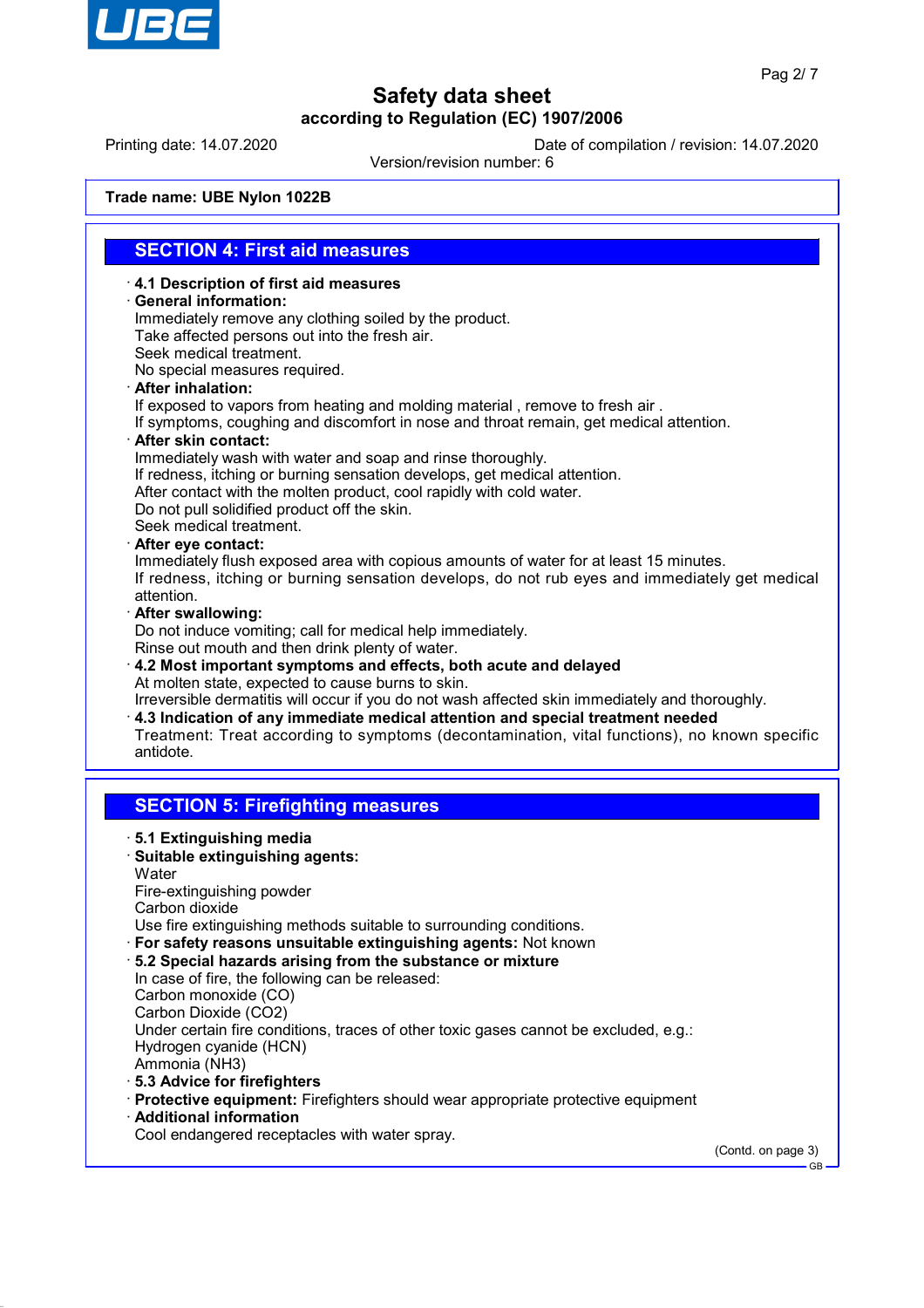

Printing date: 14.07.2020 Date of compilation / revision: 14.07.2020

Version/revision number: 6

**Trade name: UBE Nylon 1022B**

### **SECTION 4: First aid measures**

· **4.1 Description of first aid measures**

· **General information:**

Immediately remove any clothing soiled by the product. Take affected persons out into the fresh air. Seek medical treatment.

No special measures required.

· **After inhalation:**

If exposed to vapors from heating and molding material , remove to fresh air .

If symptoms, coughing and discomfort in nose and throat remain, get medical attention.

· **After skin contact:**

Immediately wash with water and soap and rinse thoroughly. If redness, itching or burning sensation develops, get medical attention. After contact with the molten product, cool rapidly with cold water. Do not pull solidified product off the skin. Seek medical treatment.

· **After eye contact:**

Immediately flush exposed area with copious amounts of water for at least 15 minutes. If redness, itching or burning sensation develops, do not rub eyes and immediately get medical attention.

· **After swallowing:**

Do not induce vomiting; call for medical help immediately.

Rinse out mouth and then drink plenty of water.

· **4.2 Most important symptoms and effects, both acute and delayed** At molten state, expected to cause burns to skin. Irreversible dermatitis will occur if you do not wash affected skin immediately and thoroughly. · **4.3 Indication of any immediate medical attention and special treatment needed**

Treatment: Treat according to symptoms (decontamination, vital functions), no known specific antidote.

### **SECTION 5: Firefighting measures**

- · **5.1 Extinguishing media**
- · **Suitable extinguishing agents:**

**Water** 

Fire-extinguishing powder

Carbon dioxide

Use fire extinguishing methods suitable to surrounding conditions.

- · **For safety reasons unsuitable extinguishing agents:** Not known
- · **5.2 Special hazards arising from the substance or mixture** In case of fire, the following can be released: Carbon monoxide (CO) Carbon Dioxide (CO2) Under certain fire conditions, traces of other toxic gases cannot be excluded, e.g.: Hydrogen cyanide (HCN) Ammonia (NH3) · **5.3 Advice for firefighters**
- 
- · **Protective equipment:** Firefighters should wear appropriate protective equipment
- · **Additional information**
- Cool endangered receptacles with water spray.

(Contd. on page 3)

GB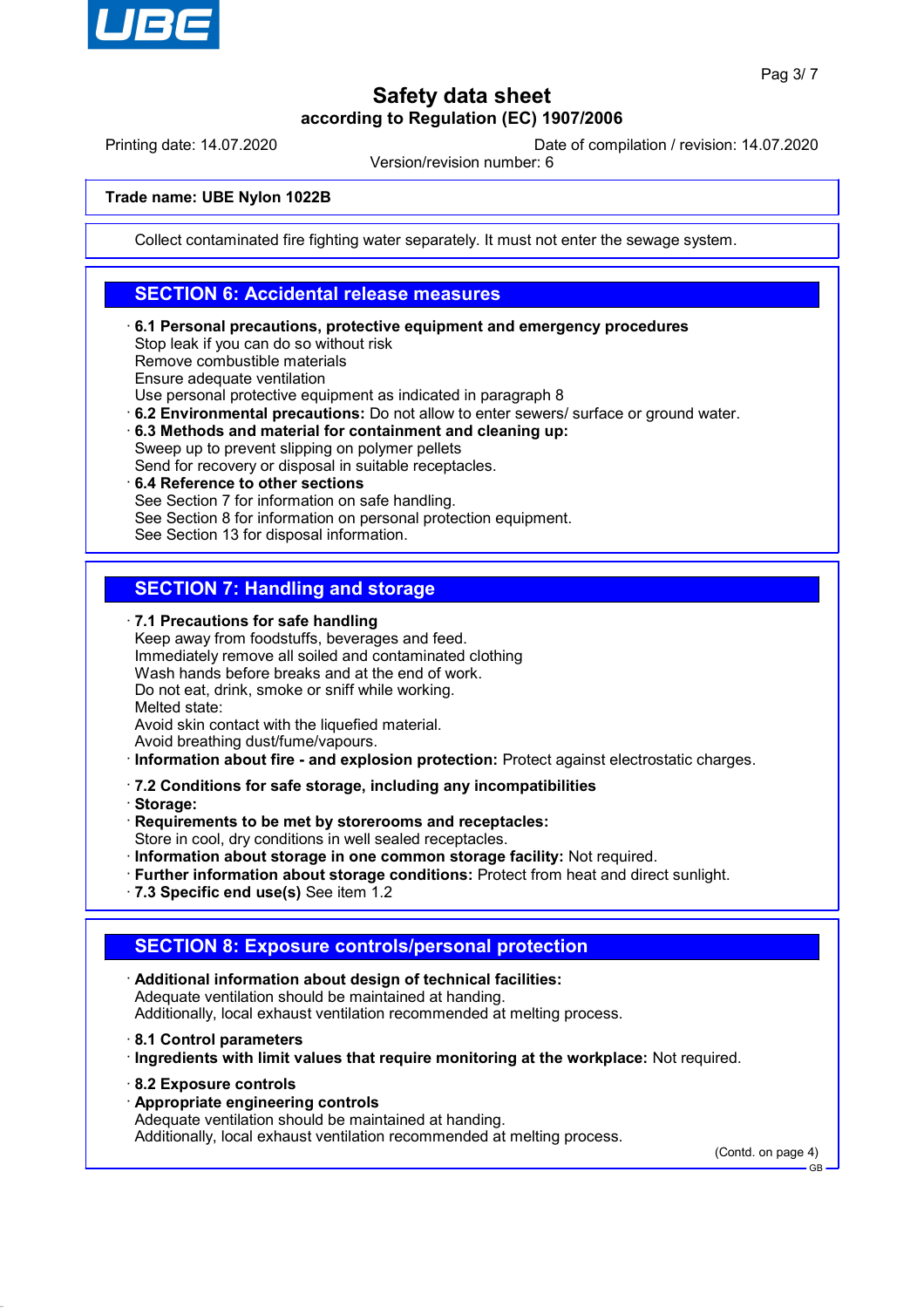

Printing date: 14.07.2020 Date of compilation / revision: 14.07.2020

Version/revision number: 6

#### **Trade name: UBE Nylon 1022B**

Collect contaminated fire fighting water separately. It must not enter the sewage system.

## **SECTION 6: Accidental release measures**

· **6.1 Personal precautions, protective equipment and emergency procedures**

Stop leak if you can do so without risk

Remove combustible materials

Ensure adequate ventilation

Use personal protective equipment as indicated in paragraph 8

- · **6.2 Environmental precautions:** Do not allow to enter sewers/ surface or ground water.
- · **6.3 Methods and material for containment and cleaning up:** Sweep up to prevent slipping on polymer pellets
- Send for recovery or disposal in suitable receptacles.

#### · **6.4 Reference to other sections** See Section 7 for information on safe handling. See Section 8 for information on personal protection equipment.

See Section 13 for disposal information.

## **SECTION 7: Handling and storage**

· **7.1 Precautions for safe handling** Keep away from foodstuffs, beverages and feed. Immediately remove all soiled and contaminated clothing Wash hands before breaks and at the end of work. Do not eat, drink, smoke or sniff while working. Melted state: Avoid skin contact with the liquefied material.

Avoid breathing dust/fume/vapours.

- · **Information about fire and explosion protection:** Protect against electrostatic charges.
- · **7.2 Conditions for safe storage, including any incompatibilities**

· **Storage:**

- · **Requirements to be met by storerooms and receptacles:** Store in cool, dry conditions in well sealed receptacles.
- · **Information about storage in one common storage facility:** Not required.
- · **Further information about storage conditions:** Protect from heat and direct sunlight.
- · **7.3 Specific end use(s)** See item 1.2

## **SECTION 8: Exposure controls/personal protection**

- · **Additional information about design of technical facilities:** Adequate ventilation should be maintained at handing. Additionally, local exhaust ventilation recommended at melting process.
- · **8.1 Control parameters**
- · **Ingredients with limit values that require monitoring at the workplace:** Not required.
- · **8.2 Exposure controls**
- · **Appropriate engineering controls**
- Adequate ventilation should be maintained at handing.

Additionally, local exhaust ventilation recommended at melting process.

(Contd. on page 4)

GB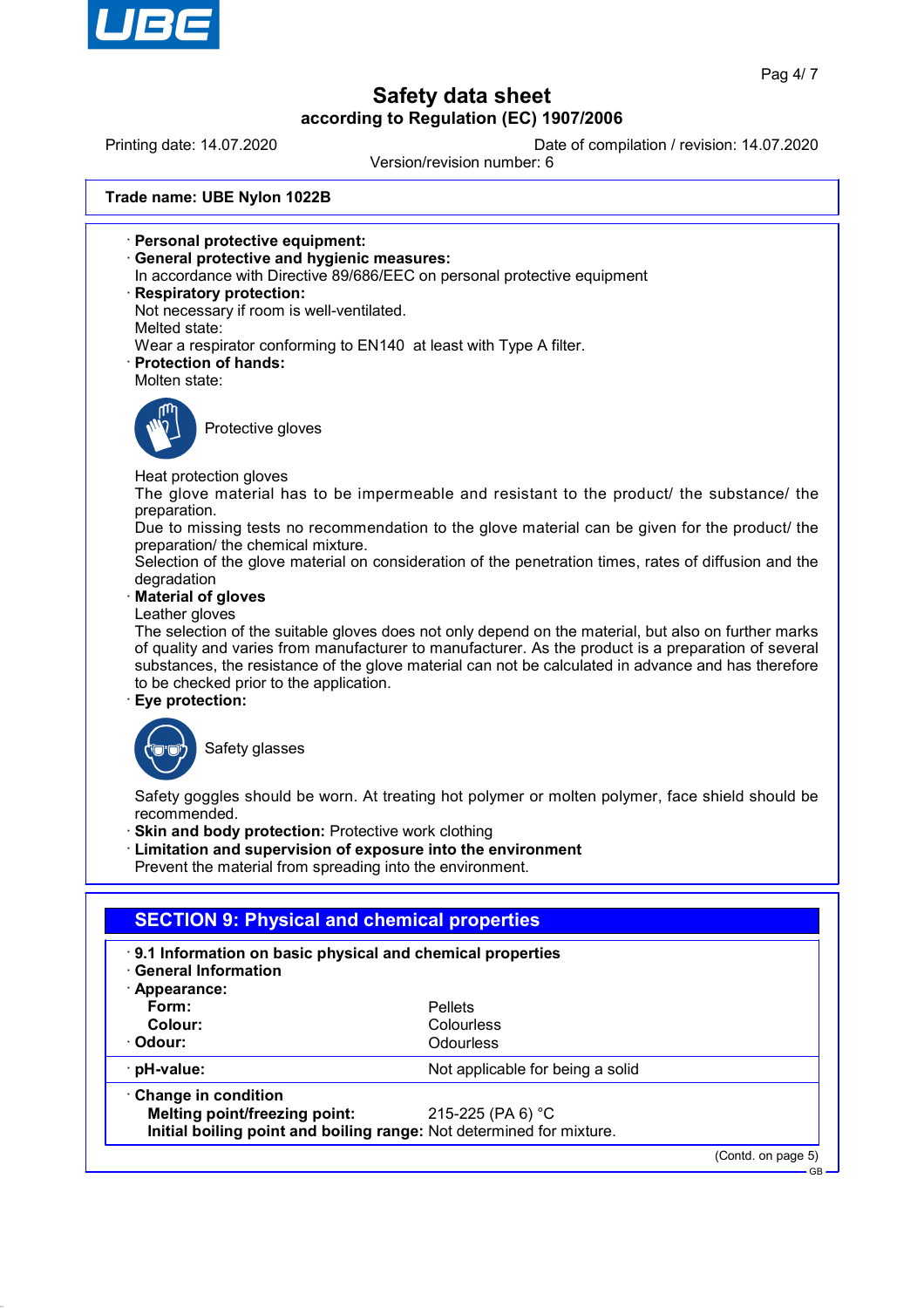

Printing date: 14.07.2020 Date of compilation / revision: 14.07.2020

Version/revision number: 6

**Trade name: UBE Nylon 1022B**

- · **Personal protective equipment:**
- · **General protective and hygienic measures:**
- In accordance with Directive 89/686/EEC on personal protective equipment
- · **Respiratory protection:**
- Not necessary if room is well-ventilated.
- Melted state:
- Wear a respirator conforming to EN140 at least with Type A filter.
- · **Protection of hands:**
- Molten state:



Protective gloves

Heat protection gloves

The glove material has to be impermeable and resistant to the product/ the substance/ the preparation.

Due to missing tests no recommendation to the glove material can be given for the product/ the preparation/ the chemical mixture.

Selection of the glove material on consideration of the penetration times, rates of diffusion and the degradation

· **Material of gloves**

Leather gloves

The selection of the suitable gloves does not only depend on the material, but also on further marks of quality and varies from manufacturer to manufacturer. As the product is a preparation of several substances, the resistance of the glove material can not be calculated in advance and has therefore to be checked prior to the application.

· **Eye protection:**



Safety glasses

Safety goggles should be worn. At treating hot polymer or molten polymer, face shield should be recommended.

- · **Skin and body protection:** Protective work clothing
- · **Limitation and supervision of exposure into the environment**

Prevent the material from spreading into the environment.

| <b>SECTION 9: Physical and chemical properties</b>                                                  |                                  |                    |
|-----------------------------------------------------------------------------------------------------|----------------------------------|--------------------|
| 9.1 Information on basic physical and chemical properties<br>· General Information<br>· Appearance: |                                  |                    |
| Form:                                                                                               | <b>Pellets</b>                   |                    |
| Colour:                                                                                             | Colourless                       |                    |
| · Odour:                                                                                            | Odourless                        |                    |
| $\cdot$ pH-value:                                                                                   | Not applicable for being a solid |                    |
| $\cdot$ Change in condition                                                                         |                                  |                    |
| Melting point/freezing point:                                                                       | 215-225 (PA 6) °C                |                    |
| Initial boiling point and boiling range: Not determined for mixture.                                |                                  |                    |
|                                                                                                     |                                  | (Contd. on page 5) |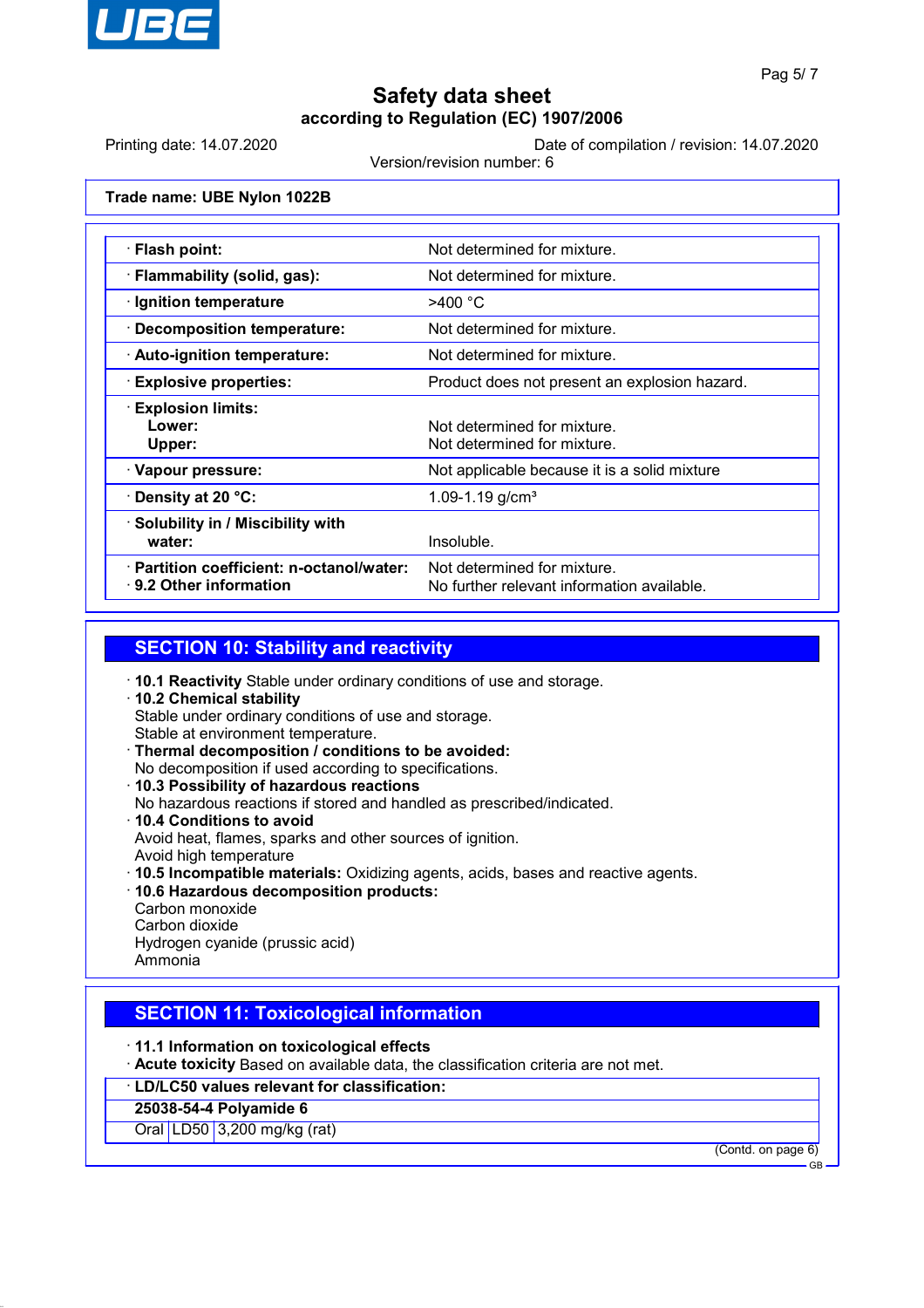

Printing date: 14.07.2020 Date of compilation / revision: 14.07.2020

Version/revision number: 6

**Trade name: UBE Nylon 1022B**

| $\cdot$ Flash point:                                                       | Not determined for mixture.                                               |
|----------------------------------------------------------------------------|---------------------------------------------------------------------------|
| · Flammability (solid, gas):                                               | Not determined for mixture.                                               |
| $\cdot$ Ignition temperature                                               | >400 °C                                                                   |
| · Decomposition temperature:                                               | Not determined for mixture.                                               |
| $\cdot$ Auto-ignition temperature:                                         | Not determined for mixture.                                               |
| <b>Explosive properties:</b>                                               | Product does not present an explosion hazard.                             |
| <b>Explosion limits:</b><br>Lower:<br>Upper:                               | Not determined for mixture.<br>Not determined for mixture.                |
| · Vapour pressure:                                                         | Not applicable because it is a solid mixture                              |
| $\cdot$ Density at 20 °C:                                                  | 1.09-1.19 $g/cm3$                                                         |
| · Solubility in / Miscibility with<br>water:                               | Insoluble.                                                                |
| · Partition coefficient: n-octanol/water:<br>$\cdot$ 9.2 Other information | Not determined for mixture.<br>No further relevant information available. |

### **SECTION 10: Stability and reactivity**

- · **10.1 Reactivity** Stable under ordinary conditions of use and storage. · **10.2 Chemical stability** Stable under ordinary conditions of use and storage. Stable at environment temperature. · **Thermal decomposition / conditions to be avoided:** No decomposition if used according to specifications. · **10.3 Possibility of hazardous reactions** No hazardous reactions if stored and handled as prescribed/indicated. · **10.4 Conditions to avoid** Avoid heat, flames, sparks and other sources of ignition. Avoid high temperature · **10.5 Incompatible materials:** Oxidizing agents, acids, bases and reactive agents. · **10.6 Hazardous decomposition products:** Carbon monoxide
- Carbon dioxide Hydrogen cyanide (prussic acid) Ammonia

## **SECTION 11: Toxicological information**

- · **11.1 Information on toxicological effects**
- · **Acute toxicity** Based on available data, the classification criteria are not met.
- · **LD/LC50 values relevant for classification:**

#### **25038-54-4 Polyamide 6**

Oral LD50 3,200 mg/kg (rat)

(Contd. on page 6)

GB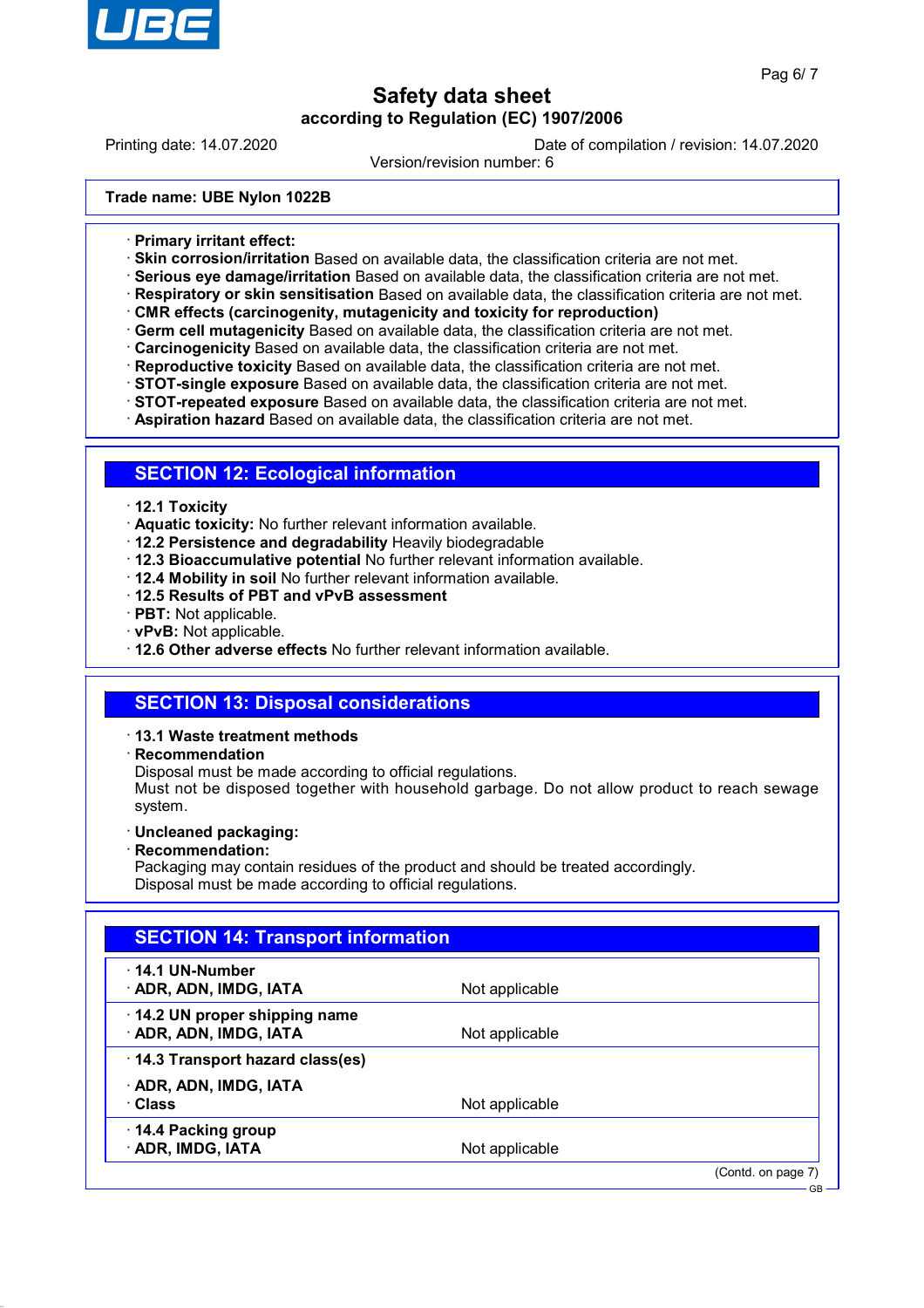

Printing date: 14.07.2020 Date of compilation / revision: 14.07.2020

Version/revision number: 6

**Trade name: UBE Nylon 1022B**

- · **Primary irritant effect:**
- · **Skin corrosion/irritation** Based on available data, the classification criteria are not met.
- · **Serious eye damage/irritation** Based on available data, the classification criteria are not met.
- · **Respiratory or skin sensitisation** Based on available data, the classification criteria are not met.
- · **CMR effects (carcinogenity, mutagenicity and toxicity for reproduction)**
- · **Germ cell mutagenicity** Based on available data, the classification criteria are not met.
- · **Carcinogenicity** Based on available data, the classification criteria are not met.
- · **Reproductive toxicity** Based on available data, the classification criteria are not met.
- · **STOT-single exposure** Based on available data, the classification criteria are not met.
- · **STOT-repeated exposure** Based on available data, the classification criteria are not met.
- · **Aspiration hazard** Based on available data, the classification criteria are not met.

### **SECTION 12: Ecological information**

#### · **12.1 Toxicity**

- · **Aquatic toxicity:** No further relevant information available.
- · **12.2 Persistence and degradability** Heavily biodegradable
- · **12.3 Bioaccumulative potential** No further relevant information available.
- · **12.4 Mobility in soil** No further relevant information available.
- · **12.5 Results of PBT and vPvB assessment**
- · **PBT:** Not applicable.
- · **vPvB:** Not applicable.
- · **12.6 Other adverse effects** No further relevant information available.

## **SECTION 13: Disposal considerations**

#### · **13.1 Waste treatment methods**

· **Recommendation**

Disposal must be made according to official regulations.

Must not be disposed together with household garbage. Do not allow product to reach sewage system.

- · **Uncleaned packaging:**
- · **Recommendation:**

Packaging may contain residues of the product and should be treated accordingly. Disposal must be made according to official regulations.

| $\cdot$ 14.1 UN-Number          |                |  |
|---------------------------------|----------------|--|
| · ADR, ADN, IMDG, IATA          | Not applicable |  |
| 14.2 UN proper shipping name    |                |  |
| · ADR, ADN, IMDG, IATA          | Not applicable |  |
| 14.3 Transport hazard class(es) |                |  |
| · ADR, ADN, IMDG, IATA          |                |  |
| · Class                         | Not applicable |  |
| 14.4 Packing group              |                |  |
| · ADR, IMDG, IATA               | Not applicable |  |